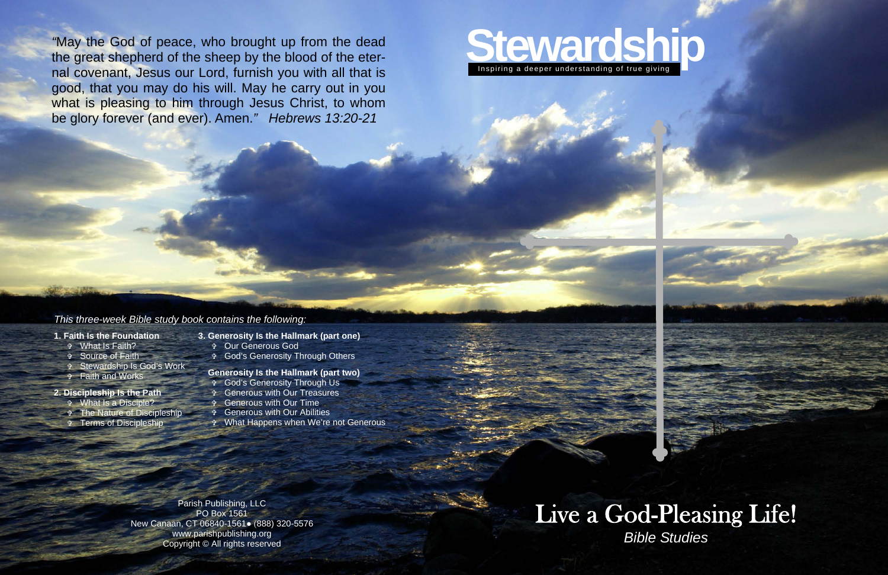

# Live a God-Pleasing Life! *Bible Studies*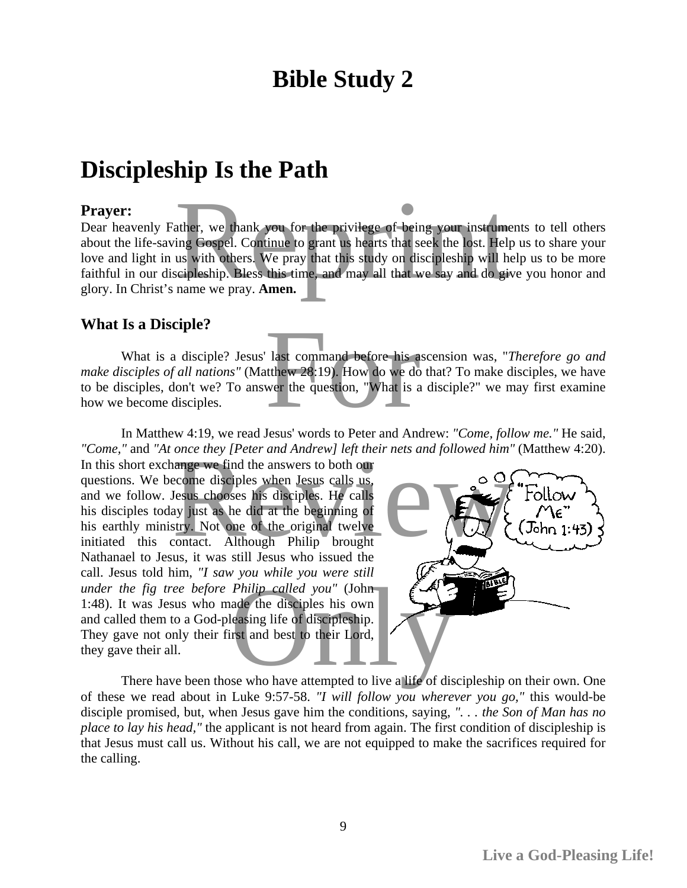## **Bible Study 2**

### **Discipleship Is the Path**

#### **Prayer:**

Dear heavenly Father, we thank you for the privilege of being your instruments to tell others about the life-saving Gospel. Continue to grant us hearts that seek the lost. Help us to share your love and light in us with others. We pray that this study on discipleship will help us to be more faithful in our discipleship. Bless this time, and may all that we say and do give you honor and glory. In Christ's name we pray. **Amen.**  ather, we thank you for the privilege of being your instruments to<br>ing Gospel. Continue to grant us hearts that seek the lost. Help us t<br>us with others. We pray that this study on discipleship will help us<br>scipleship. Bles

#### **What Is a Disciple?**

What is a disciple? Jesus' last command before his ascension was, "*Therefore go and make disciples of all nations"* (Matthew 28:19). How do we do that? To make disciples, we have to be disciples, don't we? To answer the question, "What is a disciple?" we may first examine how we become disciples. last command before his ascenses<br>tithew 28:19). How do we do that<br>wer the question, "What is a disc

In Matthew 4:19, we read Jesus' words to Peter and Andrew: *"Come, follow me."* He said, *"Come,"* and *"At once they [Peter and Andrew] left their nets and followed him"* (Matthew 4:20).

In this short exchange we find the answers to both our questions. We become disciples when Jesus calls us, and we follow. Jesus chooses his disciples. He calls his disciples today just as he did at the beginning of his earthly ministry. Not one of the original twelve initiated this contact. Although Philip brought Nathanael to Jesus, it was still Jesus who issued the call. Jesus told him, *"I saw you while you were still under the fig tree before Philip called you"* (John 1:48). It was Jesus who made the disciples his own and called them to a God-pleasing life of discipleship. They gave not only their first and best to their Lord, they gave their all. once they [Peter and Andrew] left their nets and followed him" (Matamge we find the answers to both our<br>ecome disciples when Jesus calls us,<br>Jesus chooses his disciples. He calls<br>ay just as he did at the beginning of<br>try.



of these we read about in Luke 9:57-58. *"I will follow you wherever you go,"* this would-be disciple promised, but, when Jesus gave him the conditions, saying, *". . . the Son of Man has no place to lay his head,"* the applicant is not heard from again. The first condition of discipleship is that Jesus must call us. Without his call, we are not equipped to make the sacrifices required for the calling.